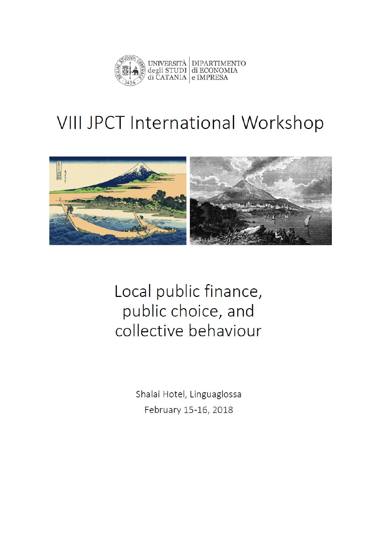

# **VIII JPCT International Workshop**



Local public finance, public choice, and collective behaviour

> Shalai Hotel, Linguaglossa February 15-16, 2018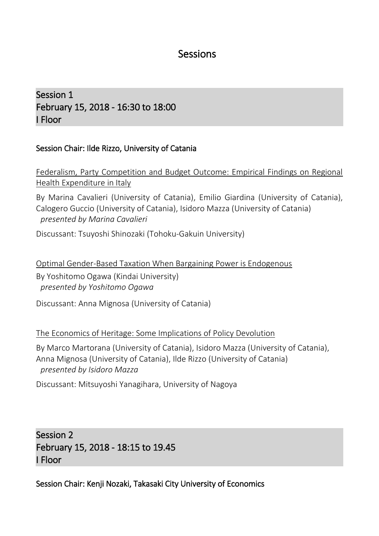#### Sessions

Session 1 February 15, 2018 - 16:30 to 18:00 I Floor

#### Session Chair: Ilde Rizzo, University of Catania

Federalism, Party Competition and Budget Outcome: Empirical Findings on Regional Health Expenditure in Italy

By Marina Cavalieri (University of Catania), Emilio Giardina (University of Catania), Calogero Guccio (University of Catania), Isidoro Mazza (University of Catania) *presented by Marina Cavalieri*

Discussant: Tsuyoshi Shinozaki (Tohoku-Gakuin University)

Optimal Gender-Based Taxation When Bargaining Power is Endogenous By Yoshitomo Ogawa (Kindai University) *presented by Yoshitomo Ogawa*

Discussant: Anna Mignosa (University of Catania)

The Economics of Heritage: Some Implications of Policy Devolution

By Marco Martorana (University of Catania), Isidoro Mazza (University of Catania), Anna Mignosa (University of Catania), Ilde Rizzo (University of Catania) *presented by Isidoro Mazza*

Discussant: Mitsuyoshi Yanagihara, University of Nagoya

Session 2 February 15, 2018 - 18:15 to 19.45 I Floor

Session Chair: Kenji Nozaki, Takasaki City University of Economics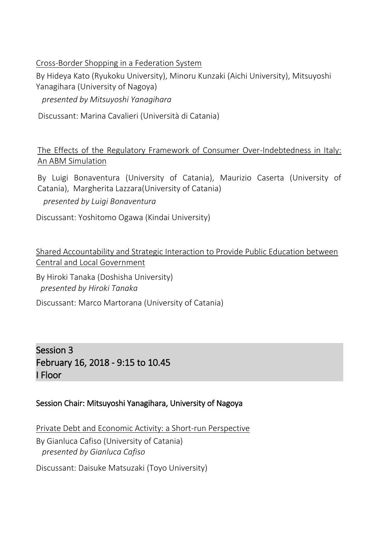[Cross-Border Shopping in a Federation System](https://editorialexpress.com/cgi-bin/conference/download.cgi?db_name=SIEP2017&paper_id=31) 

By Hideya Kato (Ryukoku University), Minoru Kunzaki (Aichi University), Mitsuyoshi Yanagihara (University of Nagoya)

*presented by Mitsuyoshi Yanagihara*

Discussant: Marina Cavalieri (Università di Catania)

The Effects of the Regulatory Framework of Consumer Over-Indebtedness in Italy: An ABM Simulation

By Luigi Bonaventura (University of Catania), Maurizio Caserta (University of Catania), Margherita Lazzara(University of Catania)

*presented by Luigi Bonaventura*

Discussant: Yoshitomo Ogawa (Kindai University)

Shared Accountability and Strategic Interaction to Provide Public Education between Central and Local Government

By Hiroki Tanaka (Doshisha University) *presented by Hiroki Tanaka*

Discussant: Marco Martorana (University of Catania)

Session 3 February 16, 2018 - 9:15 to 10.45 I Floor

#### Session Chair: Mitsuyoshi Yanagihara, University of Nagoya

[Private Debt and Economic Activity: a Short-run Perspective](https://editorialexpress.com/cgi-bin/conference/download.cgi?db_name=SIEP2017&paper_id=141)

By Gianluca Cafiso (University of Catania) *presented by Gianluca Cafiso*

Discussant: Daisuke Matsuzaki (Toyo University)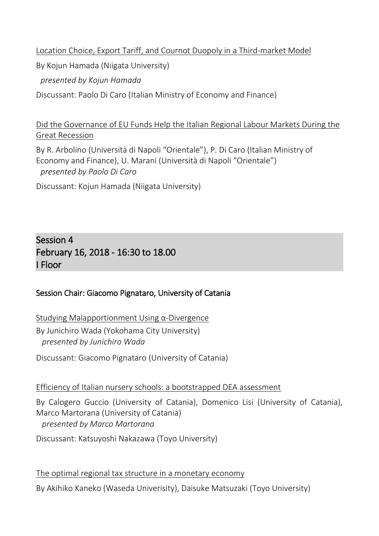Location Choice, Export Tariff, and Cournot Duopoly in a Third-market Model

By Kojun Hamada (Niigata University)

*presented by Kojun Hamada*

Discussant: Paolo Di Caro (Italian Ministry of Economy and Finance)

#### Did the Governance of EU Funds Help the Italian Regional Labour Markets During the Great Recession

By R. Arbolino (Università di Napoli "Orientale"), P. Di Caro (Italian Ministry of Economy and Finance), U. Marani (Università di Napoli "Orientale") *presented by Paolo Di Caro*

Discussant: Kojun Hamada (Niigata University)

#### Session 4 February 16, 2018 - 16:30 to 18.00 I Floor

#### Session Chair: Giacomo Pignataro, University of Catania

Studying Malapportionment Using α-Divergence By Junichiro Wada (Yokohama City University) *presented by Junichiro Wada*

Discussant: Giacomo Pignataro (University of Catania)

Efficiency of Italian nursery schools: a bootstrapped DEA assessment

By Calogero Guccio (University of Catania), Domenico Lisi (University of Catania), Marco Martorana (University of Catania) *presented by Marco Martorana*

Discussant: Katsuyoshi Nakazawa (Toyo University)

The optimal regional tax structure in a monetary economy By Akihiko Kaneko (Waseda Univerisity), Daisuke Matsuzaki (Toyo University)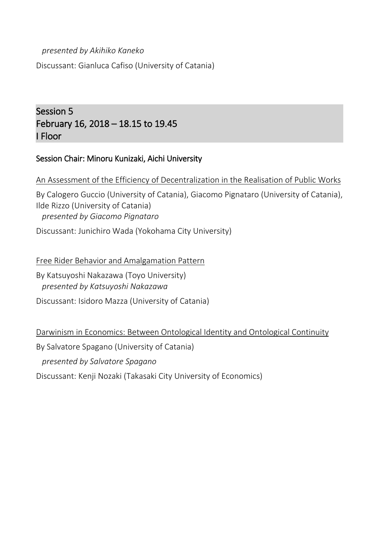### *presented by Akihiko Kaneko* Discussant: Gianluca Cafiso (University of Catania)

#### Session 5 February 16, 2018 – 18.15 to 19.45 I Floor

#### Session Chair: Minoru Kunizaki, Aichi University

An Assessment of the Efficiency of Decentralization in the Realisation of Public Works By Calogero Guccio (University of Catania), Giacomo Pignataro (University of Catania), Ilde Rizzo (University of Catania) *presented by Giacomo Pignataro*

Discussant: Junichiro Wada (Yokohama City University)

Free Rider Behavior and Amalgamation Pattern

By Katsuyoshi Nakazawa (Toyo University) *presented by Katsuyoshi Nakazawa*

Discussant: Isidoro Mazza (University of Catania)

Darwinism in Economics: Between Ontological Identity and Ontological Continuity

By Salvatore Spagano (University of Catania)

*presented by Salvatore Spagano*

Discussant: Kenji Nozaki (Takasaki City University of Economics)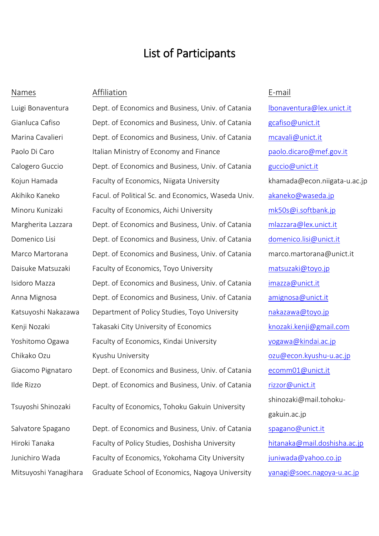### List of Participants

#### Names Affiliation E-mail

Luigi Bonaventura Dept. of Economics and Business, Univ. of Catania [lbonaventura@lex.unict.it](mailto:lbonaventura@lex.unict.it) Gianluca Cafiso **Dept.** of Economics and Business, Univ. of Catania [gcafiso@unict.it](mailto:gcafiso@unict.it) Marina Cavalieri **Dept. of Economics and Business, Univ. of Catania** [mcavali@unict.it](mailto:mcavali@unict.it) Paolo Di Caro Italian Ministry of Economy and Finance baolo.dicaro@mef.gov.it Calogero Guccio Dept. of Economics and Business, Univ. of Catania [guccio@unict.it](mailto:guccio@unict.it) Kojun Hamada Faculty of Economics, Niigata University https://www.khamada@econ.niigata-u.ac.jp Akihiko Kaneko Facul. of Political Sc. and Economics, Waseda Univ. [akaneko@waseda.jp](mailto:akaneko@waseda.jp) Minoru Kunizaki Faculty of Economics, Aichi University [mk50s@i.softbank.jp](mailto:mk50s@i.softbank.jp) Margherita Lazzara Dept. of Economics and Business, Univ. of Catania [mlazzara@lex.unict.it](mailto:mlazzara@lex.unict.it) Domenico Lisi **Dept. of Economics and Business, Univ. of Catania** domenico.lisi@unict.it Marco Martorana Dept. of Economics and Business, Univ. of Catania marco.martorana@unict.it Daisuke Matsuzaki Faculty of Economics, Toyo University [matsuzaki@toyo.jp](mailto:matsuzaki@toyo.jp) Isidoro Mazza **Dept.** of Economics and Business, Univ. of Catania [imazza@unict.it](mailto:imazza@unict.it) Anna Mignosa **Dept.** of Economics and Business, Univ. of Catania [amignosa@unict.it](mailto:amignosa@unict.it) Katsuyoshi Nakazawa Department of Policy Studies, Toyo University hakazawa@toyo.jp Kenji Nozaki **Takasaki City University of Economics** Knozaki.kenji@gmail.com Yoshitomo Ogawa Faculty of Economics, Kindai University The Supersy [yogawa@kindai.ac.jp](mailto:yogawa@kindai.ac.jp) Chikako Ozu Kyushu University [ozu@econ.kyushu-u.ac.jp](mailto:ozu@econ.kyushu-u.ac.jp) Giacomo Pignataro Dept. of Economics and Business, Univ. of Catania [ecomm01@unict.it](mailto:ecomm01@unict.it) Ilde Rizzo **Dept.** of Economics and Business, Univ. of Catania [rizzor@unict.it](mailto:rizzor@unict.it) Tsuyoshi Shinozaki Faculty of Economics, Tohoku Gakuin University Salvatore Spagano Dept. of Economics and Business, Univ. of Catania [spagano@unict.it](mailto:spagano@unict.it) Hiroki Tanaka Faculty of Policy Studies, Doshisha University [hitanaka@mail.doshisha.ac.jp](mailto:hitanaka@mail.doshisha.ac.jp) Junichiro Wada Faculty of Economics, Yokohama City University [juniwada@yahoo.co.jp](mailto:juniwada@yahoo.co.jp) Mitsuyoshi Yanagihara Graduate School of Economics, Nagoya University [yanagi@soec.nagoya-u.ac.jp](mailto:yanagi@soec.nagoya-u.ac.jp)

shinozaki@mail.tohokugakuin.ac.jp